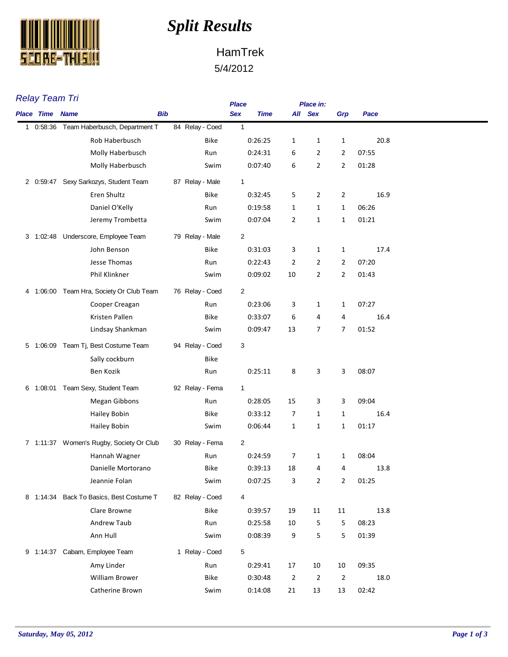

## *Split Results*

## HamTrek 5/4/2012

| <b>Relay Team Tri</b>  |                                          | <b>Place</b>    |                | Place in:      |                |                |       |
|------------------------|------------------------------------------|-----------------|----------------|----------------|----------------|----------------|-------|
| <b>Place Time Name</b> |                                          | <b>Bib</b>      | <b>Sex</b>     | <b>Time</b>    | All Sex        | Grp            | Pace  |
|                        | 1 0:58:36 Team Haberbusch, Department T  | 84 Relay - Coed | $\mathbf{1}$   |                |                |                |       |
|                        | Rob Haberbusch                           | Bike            | 0:26:25        | 1              | 1              | 1              | 20.8  |
|                        | Molly Haberbusch                         | Run             | 0:24:31        | 6              | $\overline{2}$ | $\overline{2}$ | 07:55 |
|                        | Molly Haberbusch                         | Swim            | 0:07:40        | 6              | $\overline{2}$ | 2              | 01:28 |
|                        | 2 0:59:47 Sexy Sarkozys, Student Team    | 87 Relay - Male | $\mathbf{1}$   |                |                |                |       |
|                        | Eren Shultz                              | <b>Bike</b>     | 0:32:45        | 5              | 2              | $\overline{2}$ | 16.9  |
|                        | Daniel O'Kelly                           | Run             | 0:19:58        | 1              | 1              | 1              | 06:26 |
|                        | Jeremy Trombetta                         | Swim            | 0:07:04        | 2              | 1              | 1              | 01:21 |
|                        | 3 1:02:48 Underscore, Employee Team      | 79 Relay - Male | $\overline{2}$ |                |                |                |       |
|                        | John Benson                              | <b>Bike</b>     | 0:31:03        | 3              | $\mathbf{1}$   | $\mathbf{1}$   | 17.4  |
|                        | Jesse Thomas                             | Run             | 0:22:43        | 2              | $\overline{2}$ | $\overline{2}$ | 07:20 |
|                        | Phil Klinkner                            | Swim            | 0:09:02        | 10             | $\overline{2}$ | $\overline{2}$ | 01:43 |
|                        | 4 1:06:00 Team Hra, Society Or Club Team | 76 Relay - Coed | 2              |                |                |                |       |
|                        | Cooper Creagan                           | Run             | 0:23:06        | 3              | $\mathbf{1}$   | 1              | 07:27 |
|                        | Kristen Pallen                           | <b>Bike</b>     | 0:33:07        | 6              | 4              | 4              | 16.4  |
|                        | Lindsay Shankman                         | Swim            | 0:09:47        | 13             | 7              | 7              | 01:52 |
|                        | 5 1:06:09 Team Tj, Best Costume Team     | 94 Relay - Coed | 3              |                |                |                |       |
|                        | Sally cockburn                           | <b>Bike</b>     |                |                |                |                |       |
|                        | Ben Kozik                                | Run             | 0:25:11        | 8              | 3              | 3              | 08:07 |
|                        | 6 1:08:01 Team Sexy, Student Team        | 92 Relay - Fema | $\mathbf{1}$   |                |                |                |       |
|                        | <b>Megan Gibbons</b>                     | Run             | 0:28:05        | 15             | 3              | 3              | 09:04 |
|                        | <b>Hailey Bobin</b>                      | <b>Bike</b>     | 0:33:12        | 7              | 1              | $\mathbf{1}$   | 16.4  |
|                        | <b>Hailey Bobin</b>                      | Swim            | 0:06:44        | $\mathbf{1}$   | 1              | $\mathbf{1}$   | 01:17 |
|                        | 7 1:11:37 Women's Rugby, Society Or Club | 30 Relay - Fema | $\overline{2}$ |                |                |                |       |
|                        | Hannah Wagner                            | Run             | 0:24:59        | 7              | 1              | $\mathbf{1}$   | 08:04 |
|                        | Danielle Mortorano                       | Bike            | 0:39:13        | 18             | 4              | 4              | 13.8  |
|                        | Jeannie Folan                            | Swim            | 0:07:25        | 3              | $\overline{2}$ | 2              | 01:25 |
|                        | 8 1:14:34 Back To Basics, Best Costume T | 82 Relay - Coed | 4              |                |                |                |       |
|                        | Clare Browne                             | Bike            | 0:39:57        | 19             | 11             | 11             | 13.8  |
|                        | Andrew Taub                              | Run             | 0:25:58        | 10             | 5              | 5              | 08:23 |
|                        | Ann Hull                                 | Swim            | 0:08:39        | 9              | 5              | 5              | 01:39 |
|                        | 9 1:14:37 Cabam, Employee Team           | 1 Relay - Coed  | 5              |                |                |                |       |
|                        | Amy Linder                               | Run             | 0:29:41        | 17             | 10             | 10             | 09:35 |
|                        | William Brower                           | Bike            | 0:30:48        | $\overline{2}$ | $\overline{2}$ | $\overline{2}$ | 18.0  |
|                        | Catherine Brown                          | Swim            | 0:14:08        | 21             | 13             | 13             | 02:42 |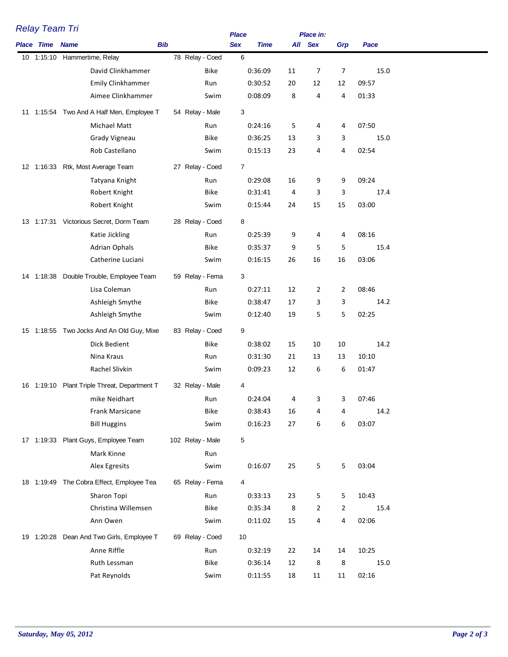| Relay Team Tri         |                                              |                  |                | <b>Place</b> |         | Place in:      |                |               |
|------------------------|----------------------------------------------|------------------|----------------|--------------|---------|----------------|----------------|---------------|
| <b>Place Time Name</b> | <b>Bib</b>                                   |                  | <b>Sex</b>     | <b>Time</b>  |         | All Sex        | Grp            | Pace          |
|                        | 10 1:15:10 Hammertime, Relay                 | 78 Relay - Coed  | 6              |              |         |                |                |               |
|                        | David Clinkhammer                            | Bike             |                | 0:36:09      | 11      | 7              | 7              | 15.0          |
|                        | Emily Clinkhammer                            | Run              |                | 0:30:52      | 20      | 12             | 12             | 09:57         |
|                        | Aimee Clinkhammer                            | Swim             |                | 0:08:09      | 8       | 4              | 4              | 01:33         |
|                        | 11 1:15:54 Two And A Half Men, Employee T    | 54 Relay - Male  | 3              |              |         |                |                |               |
|                        | Michael Matt                                 | Run              |                | 0:24:16      |         | 4              | 4              |               |
|                        | Grady Vigneau                                | Bike             |                | 0:36:25      | 5<br>13 | 3              | 3              | 07:50<br>15.0 |
|                        | Rob Castellano                               | Swim             |                | 0:15:13      | 23      | 4              | 4              | 02:54         |
|                        |                                              |                  |                |              |         |                |                |               |
|                        | 12 1:16:33 Rtk, Most Average Team            | 27 Relay - Coed  | $\overline{7}$ |              |         |                |                |               |
|                        | Tatyana Knight                               | Run              |                | 0:29:08      | 16      | 9              | 9              | 09:24         |
|                        | Robert Knight                                | Bike             |                | 0:31:41      | 4       | 3              | 3              | 17.4          |
|                        | Robert Knight                                | Swim             |                | 0:15:44      | 24      | 15             | 15             | 03:00         |
|                        | 13 1:17:31 Victorious Secret, Dorm Team      | 28 Relay - Coed  | 8              |              |         |                |                |               |
|                        | Katie Jickling                               | Run              |                | 0:25:39      | 9       | 4              | 4              | 08:16         |
|                        | <b>Adrian Ophals</b>                         | Bike             |                | 0:35:37      | 9       | 5              | 5              | 15.4          |
|                        | Catherine Luciani                            | Swim             |                | 0:16:15      | 26      | 16             | 16             | 03:06         |
|                        | 14 1:18:38 Double Trouble, Employee Team     | 59 Relay - Fema  | 3              |              |         |                |                |               |
|                        | Lisa Coleman                                 | Run              |                | 0:27:11      | 12      | 2              | 2              | 08:46         |
|                        | Ashleigh Smythe                              | <b>Bike</b>      |                | 0:38:47      | 17      | 3              | 3              | 14.2          |
|                        | Ashleigh Smythe                              | Swim             |                | 0:12:40      | 19      | 5              | 5              | 02:25         |
|                        |                                              |                  |                |              |         |                |                |               |
|                        | 15 1:18:55 Two Jocks And An Old Guy, Mixe    | 83 Relay - Coed  | 9              |              |         |                |                |               |
|                        | Dick Bedient                                 | Bike             |                | 0:38:02      | 15      | 10             | 10             | 14.2          |
|                        | Nina Kraus                                   | Run              |                | 0:31:30      | 21      | 13             | 13             | 10:10         |
|                        | Rachel Slivkin                               | Swim             |                | 0:09:23      | 12      | 6              | 6              | 01:47         |
|                        | 16 1:19:10 Plant Triple Threat, Department T | 32 Relay - Male  | 4              |              |         |                |                |               |
|                        | mike Neidhart                                | Run              |                | 0:24:04      | 4       | $\mathbf{3}$   | 3              | 07:46         |
|                        | Frank Marsicane                              | <b>Bike</b>      |                | 0:38:43      | 16      | 4              | 4              | 14.2          |
|                        | <b>Bill Huggins</b>                          | Swim             |                | 0:16:23      | 27      | 6              | 6              | 03:07         |
|                        | 17 1:19:33 Plant Guys, Employee Team         | 102 Relay - Male | 5              |              |         |                |                |               |
|                        | Mark Kinne                                   | Run              |                |              |         |                |                |               |
|                        | Alex Egresits                                | Swim             |                | 0:16:07      | 25      | 5              | 5              | 03:04         |
|                        |                                              |                  |                |              |         |                |                |               |
|                        | 18 1:19:49 The Cobra Effect, Employee Tea    | 65 Relay - Fema  | 4              |              |         |                |                |               |
|                        | Sharon Topi                                  | Run              |                | 0:33:13      | 23      | 5              | 5              | 10:43         |
|                        | Christina Willemsen                          | <b>Bike</b>      |                | 0:35:34      | 8       | $\overline{2}$ | $\overline{2}$ | 15.4          |
|                        | Ann Owen                                     | Swim             |                | 0:11:02      | 15      | 4              | 4              | 02:06         |
|                        | 19 1:20:28 Dean And Two Girls, Employee T    | 69 Relay - Coed  | 10             |              |         |                |                |               |
|                        | Anne Riffle                                  | Run              |                | 0:32:19      | 22      | 14             | 14             | 10:25         |
|                        | Ruth Lessman                                 | <b>Bike</b>      |                | 0:36:14      | 12      | 8              | 8              | 15.0          |
|                        | Pat Reynolds                                 | Swim             |                | 0:11:55      | 18      | 11             | 11             | 02:16         |